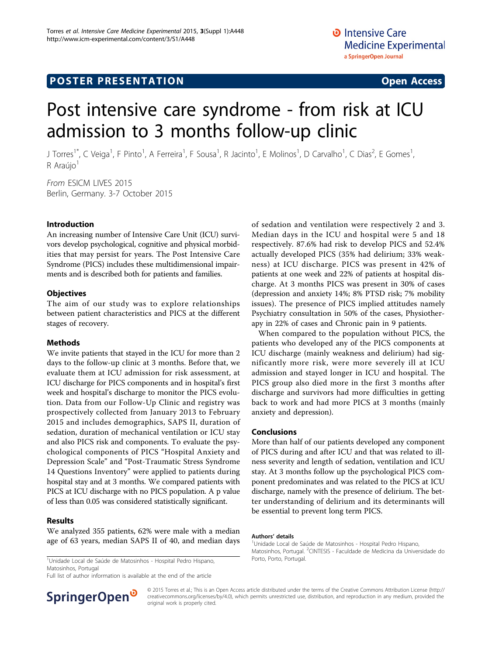# **POSTER PRESENTATION CONSUMING ACCESS**

# Post intensive care syndrome - from risk at ICU admission to 3 months follow-up clinic

J Torres<sup>1\*</sup>, C Veiga<sup>1</sup>, F Pinto<sup>1</sup>, A Ferreira<sup>1</sup>, F Sousa<sup>1</sup>, R Jacinto<sup>1</sup>, E Molinos<sup>1</sup>, D Carvalho<sup>1</sup>, C Dias<sup>2</sup>, E Gomes<sup>1</sup> ,  $R$  Araújo<sup>1</sup>

From ESICM LIVES 2015 Berlin, Germany. 3-7 October 2015

### Introduction

An increasing number of Intensive Care Unit (ICU) survivors develop psychological, cognitive and physical morbidities that may persist for years. The Post Intensive Care Syndrome (PICS) includes these multidimensional impairments and is described both for patients and families.

## **Objectives**

The aim of our study was to explore relationships between patient characteristics and PICS at the different stages of recovery.

#### Methods

We invite patients that stayed in the ICU for more than 2 days to the follow-up clinic at 3 months. Before that, we evaluate them at ICU admission for risk assessment, at ICU discharge for PICS components and in hospital's first week and hospital's discharge to monitor the PICS evolution. Data from our Follow-Up Clinic and registry was prospectively collected from January 2013 to February 2015 and includes demographics, SAPS II, duration of sedation, duration of mechanical ventilation or ICU stay and also PICS risk and components. To evaluate the psychological components of PICS "Hospital Anxiety and Depression Scale" and "Post-Traumatic Stress Syndrome 14 Questions Inventory" were applied to patients during hospital stay and at 3 months. We compared patients with PICS at ICU discharge with no PICS population. A p value of less than 0.05 was considered statistically significant.

### Results

We analyzed 355 patients, 62% were male with a median age of 63 years, median SAPS II of 40, and median days

<sup>1</sup>Unidade Local de Saúde de Matosinhos - Hospital Pedro Hispano, Porto, Porto, Portugal. Matosinhos, Portugal

Full list of author information is available at the end of the article



When compared to the population without PICS, the patients who developed any of the PICS components at ICU discharge (mainly weakness and delirium) had significantly more risk, were more severely ill at ICU admission and stayed longer in ICU and hospital. The PICS group also died more in the first 3 months after discharge and survivors had more difficulties in getting back to work and had more PICS at 3 months (mainly anxiety and depression).

#### Conclusions

More than half of our patients developed any component of PICS during and after ICU and that was related to illness severity and length of sedation, ventilation and ICU stay. At 3 months follow up the psychological PICS component predominates and was related to the PICS at ICU discharge, namely with the presence of delirium. The better understanding of delirium and its determinants will be essential to prevent long term PICS.

#### Authors' details <sup>1</sup>

<sup>1</sup>Unidade Local de Saúde de Matosinhos - Hospital Pedro Hispano, Matosinhos, Portugal. <sup>2</sup>CINTESIS - Faculdade de Medicina da Universidade do



© 2015 Torres et al.; This is an Open Access article distributed under the terms of the Creative Commons Attribution License [\(http://](http://creativecommons.org/licenses/by/4.0) [creativecommons.org/licenses/by/4.0](http://creativecommons.org/licenses/by/4.0)), which permits unrestricted use, distribution, and reproduction in any medium, provided the original work is properly cited.